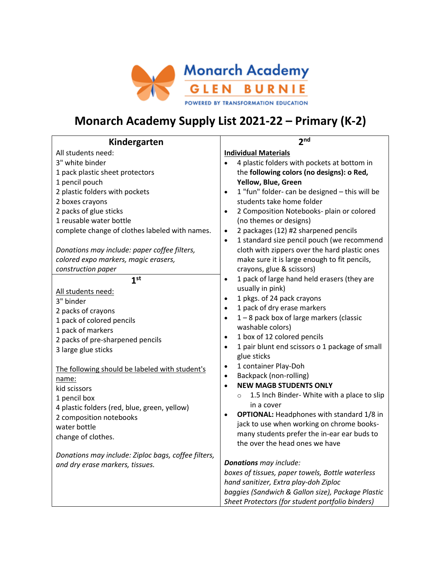

# **Monarch Academy Supply List 2021-22 – Primary (K-2)**

| Kindergarten                                                                                                                                                                                                                                  | 2 <sub>nd</sub>                                                                                                                                                                                                                                                                                                                                                                                                                                                                                                                                                                                                                                                                                                                                                                                                                                                                                                                                              |
|-----------------------------------------------------------------------------------------------------------------------------------------------------------------------------------------------------------------------------------------------|--------------------------------------------------------------------------------------------------------------------------------------------------------------------------------------------------------------------------------------------------------------------------------------------------------------------------------------------------------------------------------------------------------------------------------------------------------------------------------------------------------------------------------------------------------------------------------------------------------------------------------------------------------------------------------------------------------------------------------------------------------------------------------------------------------------------------------------------------------------------------------------------------------------------------------------------------------------|
| All students need:                                                                                                                                                                                                                            | <b>Individual Materials</b>                                                                                                                                                                                                                                                                                                                                                                                                                                                                                                                                                                                                                                                                                                                                                                                                                                                                                                                                  |
| 3" white binder                                                                                                                                                                                                                               | 4 plastic folders with pockets at bottom in                                                                                                                                                                                                                                                                                                                                                                                                                                                                                                                                                                                                                                                                                                                                                                                                                                                                                                                  |
| 1 pack plastic sheet protectors                                                                                                                                                                                                               | the following colors (no designs): o Red,                                                                                                                                                                                                                                                                                                                                                                                                                                                                                                                                                                                                                                                                                                                                                                                                                                                                                                                    |
| 1 pencil pouch                                                                                                                                                                                                                                | Yellow, Blue, Green                                                                                                                                                                                                                                                                                                                                                                                                                                                                                                                                                                                                                                                                                                                                                                                                                                                                                                                                          |
| 2 plastic folders with pockets                                                                                                                                                                                                                | 1 "fun" folder- can be designed - this will be<br>$\bullet$                                                                                                                                                                                                                                                                                                                                                                                                                                                                                                                                                                                                                                                                                                                                                                                                                                                                                                  |
| 2 boxes crayons                                                                                                                                                                                                                               | students take home folder                                                                                                                                                                                                                                                                                                                                                                                                                                                                                                                                                                                                                                                                                                                                                                                                                                                                                                                                    |
| 2 packs of glue sticks                                                                                                                                                                                                                        | 2 Composition Notebooks- plain or colored<br>$\bullet$                                                                                                                                                                                                                                                                                                                                                                                                                                                                                                                                                                                                                                                                                                                                                                                                                                                                                                       |
| 1 reusable water bottle                                                                                                                                                                                                                       | (no themes or designs)                                                                                                                                                                                                                                                                                                                                                                                                                                                                                                                                                                                                                                                                                                                                                                                                                                                                                                                                       |
| complete change of clothes labeled with names.                                                                                                                                                                                                | 2 packages (12) #2 sharpened pencils<br>$\bullet$                                                                                                                                                                                                                                                                                                                                                                                                                                                                                                                                                                                                                                                                                                                                                                                                                                                                                                            |
|                                                                                                                                                                                                                                               | 1 standard size pencil pouch (we recommend<br>$\bullet$                                                                                                                                                                                                                                                                                                                                                                                                                                                                                                                                                                                                                                                                                                                                                                                                                                                                                                      |
| Donations may include: paper coffee filters,                                                                                                                                                                                                  | cloth with zippers over the hard plastic ones                                                                                                                                                                                                                                                                                                                                                                                                                                                                                                                                                                                                                                                                                                                                                                                                                                                                                                                |
| colored expo markers, magic erasers,                                                                                                                                                                                                          | make sure it is large enough to fit pencils,                                                                                                                                                                                                                                                                                                                                                                                                                                                                                                                                                                                                                                                                                                                                                                                                                                                                                                                 |
| construction paper                                                                                                                                                                                                                            | crayons, glue & scissors)                                                                                                                                                                                                                                                                                                                                                                                                                                                                                                                                                                                                                                                                                                                                                                                                                                                                                                                                    |
| 1 <sup>st</sup>                                                                                                                                                                                                                               | $\bullet$                                                                                                                                                                                                                                                                                                                                                                                                                                                                                                                                                                                                                                                                                                                                                                                                                                                                                                                                                    |
|                                                                                                                                                                                                                                               |                                                                                                                                                                                                                                                                                                                                                                                                                                                                                                                                                                                                                                                                                                                                                                                                                                                                                                                                                              |
| 3" binder                                                                                                                                                                                                                                     | $\bullet$                                                                                                                                                                                                                                                                                                                                                                                                                                                                                                                                                                                                                                                                                                                                                                                                                                                                                                                                                    |
| 2 packs of crayons                                                                                                                                                                                                                            |                                                                                                                                                                                                                                                                                                                                                                                                                                                                                                                                                                                                                                                                                                                                                                                                                                                                                                                                                              |
| 1 pack of colored pencils                                                                                                                                                                                                                     | $\bullet$                                                                                                                                                                                                                                                                                                                                                                                                                                                                                                                                                                                                                                                                                                                                                                                                                                                                                                                                                    |
| 1 pack of markers                                                                                                                                                                                                                             |                                                                                                                                                                                                                                                                                                                                                                                                                                                                                                                                                                                                                                                                                                                                                                                                                                                                                                                                                              |
| 2 packs of pre-sharpened pencils                                                                                                                                                                                                              |                                                                                                                                                                                                                                                                                                                                                                                                                                                                                                                                                                                                                                                                                                                                                                                                                                                                                                                                                              |
| 3 large glue sticks                                                                                                                                                                                                                           |                                                                                                                                                                                                                                                                                                                                                                                                                                                                                                                                                                                                                                                                                                                                                                                                                                                                                                                                                              |
|                                                                                                                                                                                                                                               |                                                                                                                                                                                                                                                                                                                                                                                                                                                                                                                                                                                                                                                                                                                                                                                                                                                                                                                                                              |
| The following should be labeled with student's                                                                                                                                                                                                |                                                                                                                                                                                                                                                                                                                                                                                                                                                                                                                                                                                                                                                                                                                                                                                                                                                                                                                                                              |
| name:                                                                                                                                                                                                                                         |                                                                                                                                                                                                                                                                                                                                                                                                                                                                                                                                                                                                                                                                                                                                                                                                                                                                                                                                                              |
| kid scissors                                                                                                                                                                                                                                  |                                                                                                                                                                                                                                                                                                                                                                                                                                                                                                                                                                                                                                                                                                                                                                                                                                                                                                                                                              |
|                                                                                                                                                                                                                                               |                                                                                                                                                                                                                                                                                                                                                                                                                                                                                                                                                                                                                                                                                                                                                                                                                                                                                                                                                              |
|                                                                                                                                                                                                                                               |                                                                                                                                                                                                                                                                                                                                                                                                                                                                                                                                                                                                                                                                                                                                                                                                                                                                                                                                                              |
|                                                                                                                                                                                                                                               |                                                                                                                                                                                                                                                                                                                                                                                                                                                                                                                                                                                                                                                                                                                                                                                                                                                                                                                                                              |
|                                                                                                                                                                                                                                               |                                                                                                                                                                                                                                                                                                                                                                                                                                                                                                                                                                                                                                                                                                                                                                                                                                                                                                                                                              |
|                                                                                                                                                                                                                                               |                                                                                                                                                                                                                                                                                                                                                                                                                                                                                                                                                                                                                                                                                                                                                                                                                                                                                                                                                              |
|                                                                                                                                                                                                                                               |                                                                                                                                                                                                                                                                                                                                                                                                                                                                                                                                                                                                                                                                                                                                                                                                                                                                                                                                                              |
|                                                                                                                                                                                                                                               |                                                                                                                                                                                                                                                                                                                                                                                                                                                                                                                                                                                                                                                                                                                                                                                                                                                                                                                                                              |
|                                                                                                                                                                                                                                               |                                                                                                                                                                                                                                                                                                                                                                                                                                                                                                                                                                                                                                                                                                                                                                                                                                                                                                                                                              |
|                                                                                                                                                                                                                                               |                                                                                                                                                                                                                                                                                                                                                                                                                                                                                                                                                                                                                                                                                                                                                                                                                                                                                                                                                              |
|                                                                                                                                                                                                                                               |                                                                                                                                                                                                                                                                                                                                                                                                                                                                                                                                                                                                                                                                                                                                                                                                                                                                                                                                                              |
|                                                                                                                                                                                                                                               |                                                                                                                                                                                                                                                                                                                                                                                                                                                                                                                                                                                                                                                                                                                                                                                                                                                                                                                                                              |
| All students need:<br>1 pencil box<br>4 plastic folders (red, blue, green, yellow)<br>2 composition notebooks<br>water bottle<br>change of clothes.<br>Donations may include: Ziploc bags, coffee filters,<br>and dry erase markers, tissues. | 1 pack of large hand held erasers (they are<br>usually in pink)<br>1 pkgs. of 24 pack crayons<br>1 pack of dry erase markers<br>1-8 pack box of large markers (classic<br>washable colors)<br>1 box of 12 colored pencils<br>$\bullet$<br>1 pair blunt end scissors o 1 package of small<br>$\bullet$<br>glue sticks<br>1 container Play-Doh<br>$\bullet$<br>Backpack (non-rolling)<br>$\bullet$<br><b>NEW MAGB STUDENTS ONLY</b><br>$\bullet$<br>1.5 Inch Binder- White with a place to slip<br>$\circ$<br>in a cover<br><b>OPTIONAL:</b> Headphones with standard 1/8 in<br>$\bullet$<br>jack to use when working on chrome books-<br>many students prefer the in-ear ear buds to<br>the over the head ones we have<br><b>Donations</b> may include:<br>boxes of tissues, paper towels, Bottle waterless<br>hand sanitizer, Extra play-doh Ziploc<br>baggies (Sandwich & Gallon size), Package Plastic<br>Sheet Protectors (for student portfolio binders) |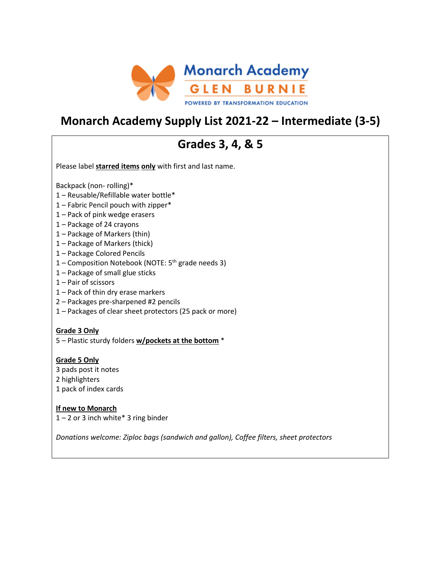

## **Monarch Academy Supply List 2021-22 – Intermediate (3-5)**

## **Grades 3, 4, & 5**

Please label **starred items only** with first and last name.

Backpack (non- rolling)\*

- 1 Reusable/Refillable water bottle\*
- 1 Fabric Pencil pouch with zipper\*
- 1 Pack of pink wedge erasers
- 1 Package of 24 crayons
- 1 Package of Markers (thin)
- 1 Package of Markers (thick)
- 1 Package Colored Pencils
- 1 Composition Notebook (NOTE:  $5<sup>th</sup>$  grade needs 3)
- 1 Package of small glue sticks
- 1 Pair of scissors
- 1 Pack of thin dry erase markers
- 2 Packages pre-sharpened #2 pencils
- 1 Packages of clear sheet protectors (25 pack or more)

### **Grade 3 Only**

5 – Plastic sturdy folders **w/pockets at the bottom** \*

### **Grade 5 Only**

- 3 pads post it notes 2 highlighters
- 1 pack of index cards

## **If new to Monarch**

 $1 - 2$  or 3 inch white\* 3 ring binder

*Donations welcome: Ziploc bags (sandwich and gallon), Coffee filters, sheet protectors*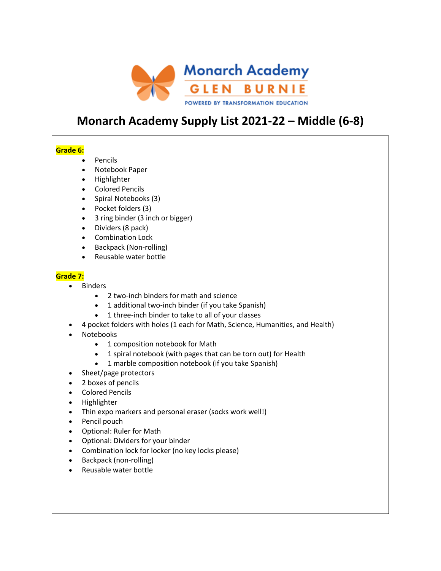

## **Monarch Academy Supply List 2021-22 – Middle (6-8)**

## **Grade 6:**

- Pencils
- Notebook Paper
- Highlighter
- Colored Pencils
- Spiral Notebooks (3)
- Pocket folders (3)
- 3 ring binder (3 inch or bigger)
- Dividers (8 pack)
- Combination Lock
- Backpack (Non-rolling)
- Reusable water bottle

### **Grade 7:**

- Binders
	- 2 two-inch binders for math and science
	- 1 additional two-inch binder (if you take Spanish)
	- 1 three-inch binder to take to all of your classes
- 4 pocket folders with holes (1 each for Math, Science, Humanities, and Health)
- Notebooks
	- 1 composition notebook for Math
	- 1 spiral notebook (with pages that can be torn out) for Health
	- 1 marble composition notebook (if you take Spanish)
- Sheet/page protectors
- 2 boxes of pencils
- Colored Pencils
- Highlighter
- Thin expo markers and personal eraser (socks work well!)
- Pencil pouch
- Optional: Ruler for Math
- Optional: Dividers for your binder
- Combination lock for locker (no key locks please)
- Backpack (non-rolling)
- Reusable water bottle